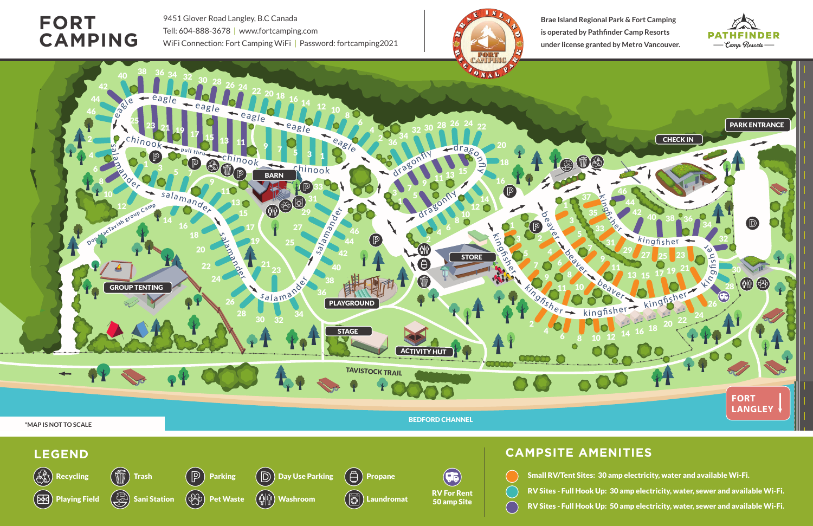

- Small RV/Tent Sites: 30 amp electricity, water and available Wi-Fi.
- RV Sites Full Hook Up: 30 amp electricity, water, sewer and available Wi-Fi.
- RV Sites Full Hook Up: 50 amp electricity, water, sewer and available Wi-Fi.

9451 Glover Road Langley, B.C Canada Tell: 604-888-3678 **|** www.fortcamping.com WiFi Connection: Fort Camping WiFi **|** Password: fortcamping2021







**Brae Island Regional Park & Fort Camping is operated by Pathfinder Camp Resorts under license granted by Metro Vancouver.**

## **FORT CAMPING**